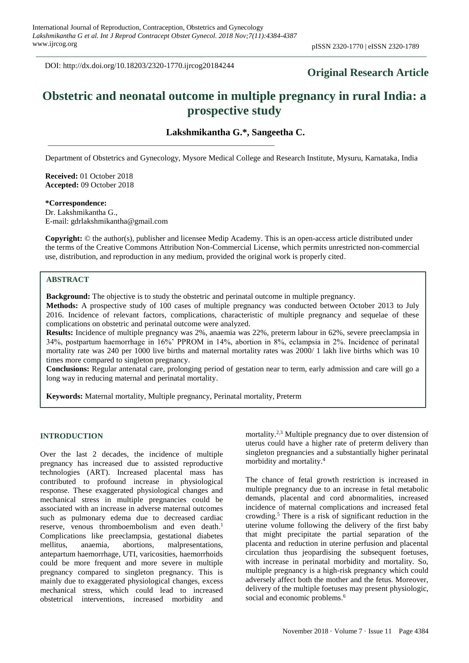DOI: http://dx.doi.org/10.18203/2320-1770.ijrcog20184244

# **Original Research Article**

# **Obstetric and neonatal outcome in multiple pregnancy in rural India: a prospective study**

**Lakshmikantha G.\*, Sangeetha C.**

Department of Obstetrics and Gynecology, Mysore Medical College and Research Institute, Mysuru, Karnataka, India

**Received:** 01 October 2018 **Accepted:** 09 October 2018

**\*Correspondence:** Dr. Lakshmikantha G., E-mail: gdrlakshmikantha@gmail.com

**Copyright:** © the author(s), publisher and licensee Medip Academy. This is an open-access article distributed under the terms of the Creative Commons Attribution Non-Commercial License, which permits unrestricted non-commercial use, distribution, and reproduction in any medium, provided the original work is properly cited.

# **ABSTRACT**

**Background:** The objective is to study the obstetric and perinatal outcome in multiple pregnancy.

**Methods:** A prospective study of 100 cases of multiple pregnancy was conducted between October 2013 to July 2016. Incidence of relevant factors, complications, characteristic of multiple pregnancy and sequelae of these complications on obstetric and perinatal outcome were analyzed.

**Results:** Incidence of multiple pregnancy was 2%, anaemia was 22%, preterm labour in 62%, severe preeclampsia in 34%, postpartum haemorrhage in 16%' PPROM in 14%, abortion in 8%, eclampsia in 2%. Incidence of perinatal mortality rate was 240 per 1000 live births and maternal mortality rates was 2000/ 1 lakh live births which was 10 times more compared to singleton pregnancy.

**Conclusions:** Regular antenatal care, prolonging period of gestation near to term, early admission and care will go a long way in reducing maternal and perinatal mortality.

**Keywords:** Maternal mortality, Multiple pregnancy, Perinatal mortality, Preterm

#### **INTRODUCTION**

Over the last 2 decades, the incidence of multiple pregnancy has increased due to assisted reproductive technologies (ART). Increased placental mass has contributed to profound increase in physiological response. These exaggerated physiological changes and mechanical stress in multiple pregnancies could be associated with an increase in adverse maternal outcomes such as pulmonary edema due to decreased cardiac reserve, venous thromboembolism and even death.<sup>1</sup> Complications like preeclampsia, gestational diabetes mellitus, anaemia, abortions, malpresentations, antepartum haemorrhage, UTI, varicosities, haemorrhoids could be more frequent and more severe in multiple pregnancy compared to singleton pregnancy. This is mainly due to exaggerated physiological changes, excess mechanical stress, which could lead to increased obstetrical interventions, increased morbidity and

mortality. 2,3 Multiple pregnancy due to over distension of uterus could have a higher rate of preterm delivery than singleton pregnancies and a substantially higher perinatal morbidity and mortality. 4

The chance of fetal growth restriction is increased in multiple pregnancy due to an increase in fetal metabolic demands, placental and cord abnormalities, increased incidence of maternal complications and increased fetal crowding. <sup>5</sup> There is a risk of significant reduction in the uterine volume following the delivery of the first baby that might precipitate the partial separation of the placenta and reduction in uterine perfusion and placental circulation thus jeopardising the subsequent foetuses, with increase in perinatal morbidity and mortality. So, multiple pregnancy is a high-risk pregnancy which could adversely affect both the mother and the fetus. Moreover, delivery of the multiple foetuses may present physiologic, social and economic problems.<sup>6</sup>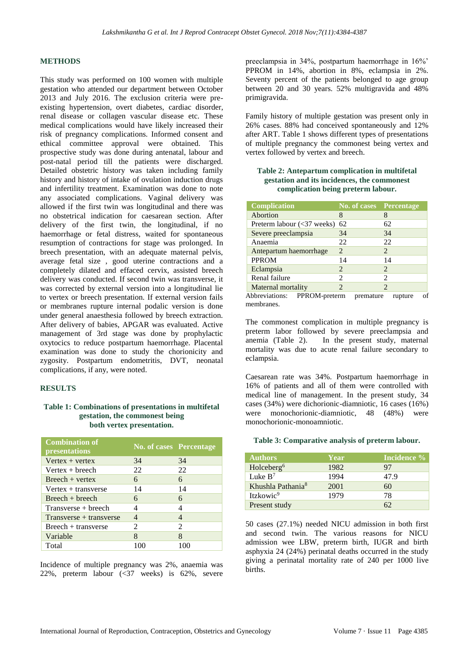### **METHODS**

This study was performed on 100 women with multiple gestation who attended our department between October 2013 and July 2016. The exclusion criteria were preexisting hypertension, overt diabetes, cardiac disorder, renal disease or collagen vascular disease etc. These medical complications would have likely increased their risk of pregnancy complications. Informed consent and ethical committee approval were obtained. This prospective study was done during antenatal, labour and post-natal period till the patients were discharged. Detailed obstetric history was taken including family history and history of intake of ovulation induction drugs and infertility treatment. Examination was done to note any associated complications. Vaginal delivery was allowed if the first twin was longitudinal and there was no obstetrical indication for caesarean section. After delivery of the first twin, the longitudinal, if no haemorrhage or fetal distress, waited for spontaneous resumption of contractions for stage was prolonged. In breech presentation, with an adequate maternal pelvis, average fetal size , good uterine contractions and a completely dilated and effaced cervix, assisted breech delivery was conducted. If second twin was transverse, it was corrected by external version into a longitudinal lie to vertex or breech presentation. If external version fails or membranes rupture internal podalic version is done under general anaesthesia followed by breech extraction. After delivery of babies, APGAR was evaluated. Active management of 3rd stage was done by prophylactic oxytocics to reduce postpartum haemorrhage. Placental examination was done to study the chorionicity and zygosity. Postpartum endometritis, DVT, neonatal complications, if any, were noted.

## **RESULTS**

## **Table 1: Combinations of presentations in multifetal gestation, the commonest being both vertex presentation.**

| <b>Combination of</b><br>presentations | <b>No. of cases Percentage</b> |                             |
|----------------------------------------|--------------------------------|-----------------------------|
| $Vertex + vertex$                      | 34                             | 34                          |
| $Vertex + breeze$                      | 22                             | 22                          |
| $Breet + vertex$                       | 6                              | 6                           |
| Vertex $+$ transverse                  | 14                             | 14                          |
| $Breech + breech$                      | 6                              | 6                           |
| Transverse + breech                    | 4                              |                             |
| $Transverse + transverse$              |                                |                             |
| Breech + transverse                    | $\mathcal{D}_{\mathcal{L}}$    | $\mathcal{D}_{\mathcal{L}}$ |
| Variable                               | 8                              | 8                           |
| Total                                  |                                |                             |

Incidence of multiple pregnancy was 2%, anaemia was 22%, preterm labour (<37 weeks) is 62%, severe preeclampsia in 34%, postpartum haemorrhage in 16%' PPROM in 14%, abortion in 8%, eclampsia in 2%. Seventy percent of the patients belonged to age group between 20 and 30 years. 52% multigravida and 48% primigravida.

Family history of multiple gestation was present only in 26% cases. 88% had conceived spontaneously and 12% after ART. Table 1 shows different types of presentations of multiple pregnancy the commonest being vertex and vertex followed by vertex and breech.

## **Table 2: Antepartum complication in multifetal gestation and its incidences, the commonest complication being preterm labour.**

| <b>Complication</b>                                      | No. of cases Percentage |                |
|----------------------------------------------------------|-------------------------|----------------|
| Abortion                                                 | 8                       |                |
| Preterm labour $\left(\langle 37 \rangle \right)$ weeks) | 62                      | 62             |
| Severe preeclampsia                                      | 34                      | 34             |
| Anaemia                                                  | 22                      | 22             |
| Antepartum haemorrhage                                   | 2                       | 2              |
| <b>PPROM</b>                                             | 14                      | 14             |
| Eclampsia                                                | 2                       | 2              |
| Renal failure                                            | 2                       | $\mathfrak{D}$ |
| Maternal mortality                                       | 2                       | 2              |
| $\Delta$ laboration on<br>$DDDOM$ anotame                | .                       |                |

Abbreviations: PPROM-preterm premature rupture of membranes.

The commonest complication in multiple pregnancy is preterm labor followed by severe preeclampsia and anemia (Table 2). In the present study, maternal mortality was due to acute renal failure secondary to eclampsia.

Caesarean rate was 34%. Postpartum haemorrhage in 16% of patients and all of them were controlled with medical line of management. In the present study, 34 cases (34%) were dichorionic-diamniotic, 16 cases (16%) were monochorionic-diamniotic, 48 (48%) were monochorionic-monoamniotic.

#### **Table 3: Comparative analysis of preterm labour.**

| <b>Authors</b>                | Year | Incidence % |
|-------------------------------|------|-------------|
| Holceberg <sup>6</sup>        | 1982 | 97          |
| Luke $B^7$                    | 1994 | 47.9        |
| Khushla Pathania <sup>8</sup> | 2001 | 60          |
| Itzkowic <sup>9</sup>         | 1979 | 78          |
| Present study                 |      |             |

50 cases (27.1%) needed NICU admission in both first and second twin. The various reasons for NICU admission wee LBW, preterm birth, IUGR and birth asphyxia 24 (24%) perinatal deaths occurred in the study giving a perinatal mortality rate of 240 per 1000 live births.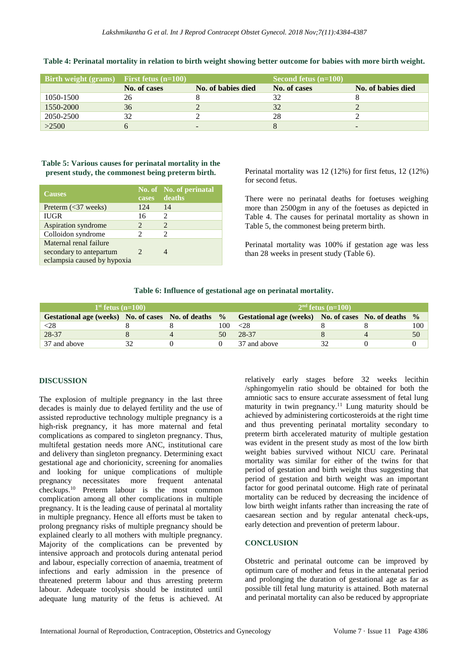| $\overline{\text{Birth weight (grams)}}$ First fetus (n=100) |              |                    | Second fetus $(n=100)$ |                    |
|--------------------------------------------------------------|--------------|--------------------|------------------------|--------------------|
|                                                              | No. of cases | No. of babies died | No. of cases           | No. of babies died |
| 1050-1500                                                    | 26           |                    |                        |                    |
| 1550-2000                                                    | 36           |                    | 32                     |                    |
| 2050-2500                                                    | 32           |                    | 28                     |                    |
| >2500                                                        |              |                    |                        |                    |

**Table 4: Perinatal mortality in relation to birth weight showing better outcome for babies with more birth weight.**

## **Table 5: Various causes for perinatal mortality in the present study, the commonest being preterm birth.**

| <b>Causes</b>                                                                    | cases                       | No. of No. of perinatal<br>deaths |
|----------------------------------------------------------------------------------|-----------------------------|-----------------------------------|
| Preterm $(<$ 37 weeks)                                                           | 124                         | 14                                |
| <b>IUGR</b>                                                                      | 16                          | $\mathcal{D}_{\mathcal{L}}$       |
| Aspiration syndrome                                                              | 2                           | $\mathcal{D}_{\mathcal{A}}$       |
| Colloidon syndrome                                                               | 2                           | 2                                 |
| Maternal renal failure<br>secondary to antepartum<br>eclampsia caused by hypoxia | $\mathcal{D}_{\mathcal{L}}$ |                                   |

Perinatal mortality was 12 (12%) for first fetus, 12 (12%) for second fetus.

There were no perinatal deaths for foetuses weighing more than 2500gm in any of the foetuses as depicted in Table 4. The causes for perinatal mortality as shown in Table 5, the commonest being preterm birth.

Perinatal mortality was 100% if gestation age was less than 28 weeks in present study (Table 6).

#### **Table 6: Influence of gestational age on perinatal mortality.**

| $1st$ fetus $(n=100)$                                |  |  | $2nd$ fetus $(n=100)$ |                                                    |  |  |               |
|------------------------------------------------------|--|--|-----------------------|----------------------------------------------------|--|--|---------------|
| Gestational age (weeks) No. of cases No. of deaths % |  |  |                       | Gestational age (weeks) No. of cases No. of deaths |  |  | $\frac{0}{0}$ |
| $<$ 28                                               |  |  | 100                   | < 28                                               |  |  | 100 -         |
| 28-37                                                |  |  | 50                    | 28-37                                              |  |  | 50            |
| 37 and above                                         |  |  |                       | 37 and above                                       |  |  |               |

#### **DISCUSSION**

The explosion of multiple pregnancy in the last three decades is mainly due to delayed fertility and the use of assisted reproductive technology multiple pregnancy is a high-risk pregnancy, it has more maternal and fetal complications as compared to singleton pregnancy. Thus, multifetal gestation needs more ANC, institutional care and delivery than singleton pregnancy. Determining exact gestational age and chorionicity, screening for anomalies and looking for unique complications of multiple pregnancy necessitates more frequent antenatal checkups. <sup>10</sup> Preterm labour is the most common complication among all other complications in multiple pregnancy. It is the leading cause of perinatal al mortality in multiple pregnancy. Hence all efforts must be taken to prolong pregnancy risks of multiple pregnancy should be explained clearly to all mothers with multiple pregnancy. Majority of the complications can be prevented by intensive approach and protocols during antenatal period and labour, especially correction of anaemia, treatment of infections and early admission in the presence of threatened preterm labour and thus arresting preterm labour. Adequate tocolysis should be instituted until adequate lung maturity of the fetus is achieved. At relatively early stages before 32 weeks lecithin /sphingomyelin ratio should be obtained for both the amniotic sacs to ensure accurate assessment of fetal lung maturity in twin pregnancy. <sup>11</sup> Lung maturity should be achieved by administering corticosteroids at the right time and thus preventing perinatal mortality secondary to preterm birth accelerated maturity of multiple gestation was evident in the present study as most of the low birth weight babies survived without NICU care. Perinatal mortality was similar for either of the twins for that period of gestation and birth weight thus suggesting that period of gestation and birth weight was an important factor for good perinatal outcome. High rate of perinatal mortality can be reduced by decreasing the incidence of low birth weight infants rather than increasing the rate of caesarean section and by regular antenatal check-ups, early detection and prevention of preterm labour.

## **CONCLUSION**

Obstetric and perinatal outcome can be improved by optimum care of mother and fetus in the antenatal period and prolonging the duration of gestational age as far as possible till fetal lung maturity is attained. Both maternal and perinatal mortality can also be reduced by appropriate